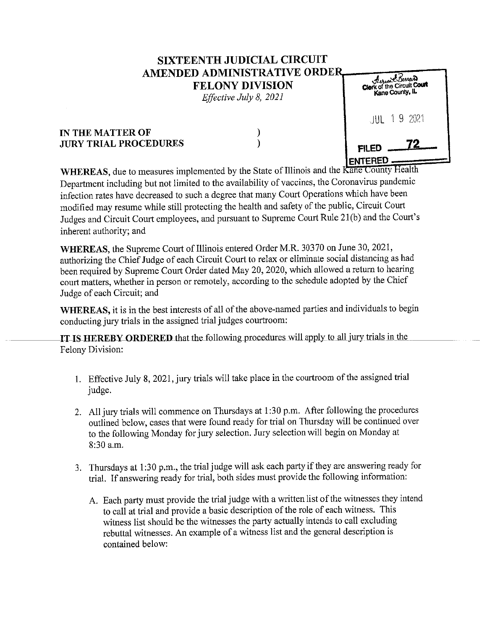## **SIXTEENTH JUDICIAL CIRCUIT AMENDED ADMINISTRATIVE ORDER. FELONY DIVISION**

*Effective July 8, 2021* 

## **IN THE MATTER OF JURY TRIAL PROCEDURES**

) )

| <i>Aurest Barrer</i><br>Clerk of the Circuit Court<br>Kane County, IL |  |  |
|-----------------------------------------------------------------------|--|--|
| JUL 19 2021                                                           |  |  |
| <b>FILED</b><br><b>ITERED</b>                                         |  |  |

**WHEREAS,** due to measures implemented by the State of Illinois and the Kane County Health Department including but not limited to the availability of vaccines, the Coronavirus pandemic infection rates have decreased to such a degree that many Court Operations which have been modified may resume while still protecting the health and safety of the public, Circuit Court Judges and Circuit Court employees, and pursuant to Supreme Court Rule 21(b) and the Court's inherent authority; and

**WHEREAS,** the Supreme Court of Illinois entered Order M.R. 30370 on June 30, 2021, authorizing the Chief Judge of each Circuit Court to relax or eliminate social distancing as had been required by Supreme Court Order dated May 20, 2020, which allowed a return to hearing court matters, whether in person or remotely, according to the schedule adopted by the Chief Judge of each Circuit; and

**WHEREAS,** it is in the best interests of all of the above-named parties and individuals to begin conducting jury trials in the assigned trial judges courtroom:

**IT IS HEREBY ORDERED** that the following procedures will apply to all jury trials in the Felony Division:

- 1. Effective July 8, 2021, jury trials will take place in the courtroom of the assigned trial judge.
- 2. All jury trials will commence on Thursdays at 1 :30 p.m. After following the procedures outlined below, cases that were found ready for trial on Thursday will be continued over to the following Monday for jury selection. Jury selection will begin on Monday at 8:30 a.m.
- 3. Thursdays at **1** :30 p.m., the trial judge will ask each party if they are answering ready for trial. If answering ready for trial, both sides must provide the following information:
	- A. Each party must provide the trial judge with a written list of the witnesses they intend to call at trial and provide a basic description of the role of each witness. This witness list should be the witnesses the party actually intends to call excluding rebuttal witnesses. An example of a witness list and the general description is contained below: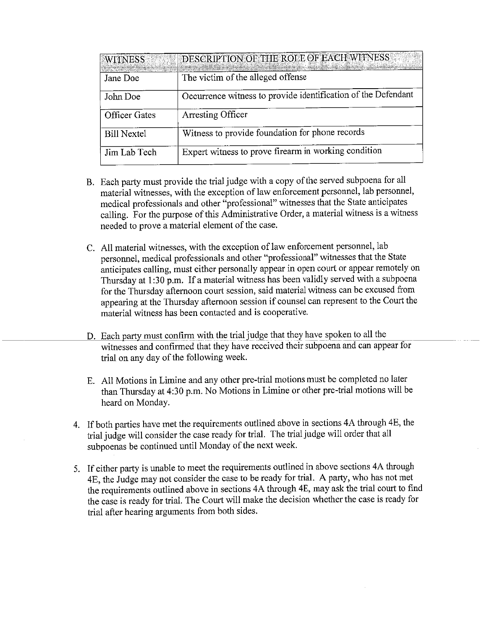| WITNESS              | DESCRIPTION OF THE ROLE OF EACH WITNESS                       |
|----------------------|---------------------------------------------------------------|
| Jane Doe             | The victim of the alleged offense                             |
| John Doe             | Occurrence witness to provide identification of the Defendant |
| <b>Officer Gates</b> | <b>Arresting Officer</b>                                      |
| <b>Bill Nextel</b>   | Witness to provide foundation for phone records               |
| Jim Lab Tech         | Expert witness to prove firearm in working condition          |

- B. Each party must provide the trial judge with a copy of the served subpoena for all material witnesses, with the exception of law enforcement personnel, lab personnel, medical professionals and other "professional" witnesses that the State anticipates calling. For the purpose of this Administrative Order, a material witness is a witness needed to prove a material element of the case.
- C. All material witnesses, with the exception of law enforcement personnel, lab personnel, medical professionals and other "professional" witnesses that the State anticipates calling, must either personally appear in open court or appear remotely on Thursday at 1 :30 p.m. If a material witness has been validly served with a subpoena for the Thursday afternoon court session, said material witness can be excused from appearing at the Thursday afternoon session if counsel can represent to the Court the material witness has been contacted and is cooperative.
- D. Each party must confirm with the trialjudge that they have spoken to all the witnesses and confirmed that they have received their subpoena and can appear for trial on any day of the following week.
- E. All Motions in Limine and any other pre-trial motions must be completed no later than Thursday at 4:30 p.m. No Motions in Limine or other pre-trial motions will be heard on Monday.
- 4. If both parties have met the requirements outlined above in sections 4A through 4E, the trial judge will consider the case ready for trial. The trial judge will order that all subpoenas be continued until Monday of the next week.
- 5. If either party is unable to meet the requirements outlined in above sections 4A through 4E, the Judge may not consider the case to be ready for trial. A party, who has not met the requirements outlined above in sections 4A through 4E, may ask the trial court to find the case is ready for trial. The Court will make the decision whether the case is ready for trial after hearing arguments from both sides.